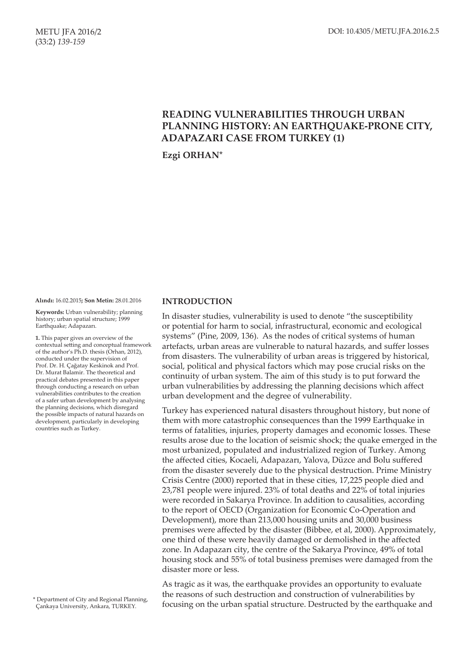# **READING VULNERABILITIES THROUGH URBAN PLANNING HISTORY: AN EARTHQUAKE-PRONE CITY, ADAPAZARI CASE FROM TURKEY (1)**

**Ezgi ORHAN\***

**Alındı:** 16.02.2015**; Son Metin:** 28.01.2016

**Keywords:** Urban vulnerability; planning history; urban spatial structure; 1999 Earthquake; Adapazarı.

**1.** This paper gives an overview of the contextual setting and conceptual framework of the author's Ph.D. thesis (Orhan, 2012), conducted under the supervision of Prof. Dr. H. Çağatay Keskinok and Prof. Dr. Murat Balamir. The theoretical and practical debates presented in this paper through conducting a research on urban vulnerabilities contributes to the creation of a safer urban development by analysing the planning decisions, which disregard the possible impacts of natural hazards on development, particularly in developing countries such as Turkey.

### **INTRODUCTION**

In disaster studies, vulnerability is used to denote "the susceptibility or potential for harm to social, infrastructural, economic and ecological systems" (Pine, 2009, 136). As the nodes of critical systems of human artefacts, urban areas are vulnerable to natural hazards, and suffer losses from disasters. The vulnerability of urban areas is triggered by historical, social, political and physical factors which may pose crucial risks on the continuity of urban system. The aim of this study is to put forward the urban vulnerabilities by addressing the planning decisions which affect urban development and the degree of vulnerability.

Turkey has experienced natural disasters throughout history, but none of them with more catastrophic consequences than the 1999 Earthquake in terms of fatalities, injuries, property damages and economic losses. These results arose due to the location of seismic shock; the quake emerged in the most urbanized, populated and industrialized region of Turkey. Among the affected cities, Kocaeli, Adapazarı, Yalova, Düzce and Bolu suffered from the disaster severely due to the physical destruction. Prime Ministry Crisis Centre (2000) reported that in these cities, 17,225 people died and 23,781 people were injured. 23% of total deaths and 22% of total injuries were recorded in Sakarya Province. In addition to causalities, according to the report of OECD (Organization for Economic Co-Operation and Development), more than 213,000 housing units and 30,000 business premises were affected by the disaster (Bibbee, et al, 2000). Approximately, one third of these were heavily damaged or demolished in the affected zone. In Adapazarı city, the centre of the Sakarya Province, 49% of total housing stock and 55% of total business premises were damaged from the disaster more or less.

As tragic as it was, the earthquake provides an opportunity to evaluate the reasons of such destruction and construction of vulnerabilities by focusing on the urban spatial structure. Destructed by the earthquake and

<sup>\*</sup> Department of City and Regional Planning, Çankaya University, Ankara, TURKEY.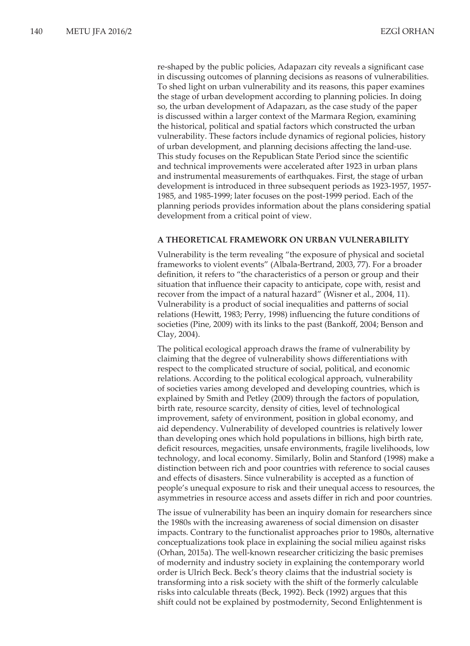re-shaped by the public policies, Adapazarı city reveals a significant case in discussing outcomes of planning decisions as reasons of vulnerabilities. To shed light on urban vulnerability and its reasons, this paper examines the stage of urban development according to planning policies. In doing so, the urban development of Adapazarı, as the case study of the paper is discussed within a larger context of the Marmara Region, examining the historical, political and spatial factors which constructed the urban vulnerability. These factors include dynamics of regional policies, history of urban development, and planning decisions affecting the land-use. This study focuses on the Republican State Period since the scientific and technical improvements were accelerated after 1923 in urban plans and instrumental measurements of earthquakes. First, the stage of urban development is introduced in three subsequent periods as 1923-1957, 1957- 1985, and 1985-1999; later focuses on the post-1999 period. Each of the planning periods provides information about the plans considering spatial development from a critical point of view.

### **A THEORETICAL FRAMEWORK ON URBAN VULNERABILITY**

Vulnerability is the term revealing "the exposure of physical and societal frameworks to violent events" (Albala-Bertrand, 2003, 77). For a broader definition, it refers to "the characteristics of a person or group and their situation that influence their capacity to anticipate, cope with, resist and recover from the impact of a natural hazard" (Wisner et al., 2004, 11). Vulnerability is a product of social inequalities and patterns of social relations (Hewitt, 1983; Perry, 1998) influencing the future conditions of societies (Pine, 2009) with its links to the past (Bankoff, 2004; Benson and Clay, 2004).

The political ecological approach draws the frame of vulnerability by claiming that the degree of vulnerability shows differentiations with respect to the complicated structure of social, political, and economic relations. According to the political ecological approach, vulnerability of societies varies among developed and developing countries, which is explained by Smith and Petley (2009) through the factors of population, birth rate, resource scarcity, density of cities, level of technological improvement, safety of environment, position in global economy, and aid dependency. Vulnerability of developed countries is relatively lower than developing ones which hold populations in billions, high birth rate, deficit resources, megacities, unsafe environments, fragile livelihoods, low technology, and local economy. Similarly, Bolin and Stanford (1998) make a distinction between rich and poor countries with reference to social causes and effects of disasters. Since vulnerability is accepted as a function of people's unequal exposure to risk and their unequal access to resources, the asymmetries in resource access and assets differ in rich and poor countries.

The issue of vulnerability has been an inquiry domain for researchers since the 1980s with the increasing awareness of social dimension on disaster impacts. Contrary to the functionalist approaches prior to 1980s, alternative conceptualizations took place in explaining the social milieu against risks (Orhan, 2015a). The well-known researcher criticizing the basic premises of modernity and industry society in explaining the contemporary world order is Ulrich Beck. Beck's theory claims that the industrial society is transforming into a risk society with the shift of the formerly calculable risks into calculable threats (Beck, 1992). Beck (1992) argues that this shift could not be explained by postmodernity, Second Enlightenment is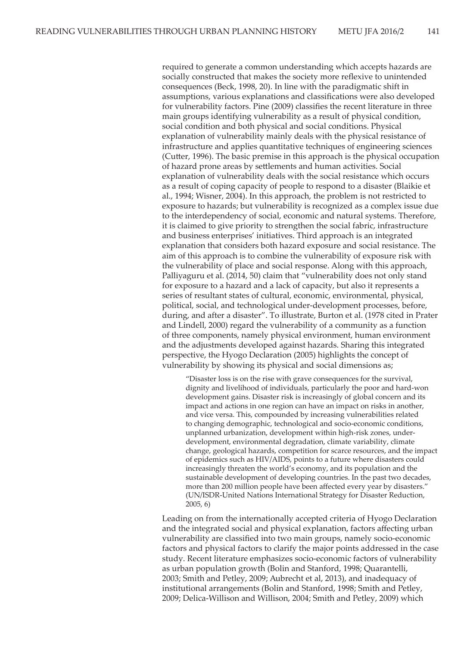required to generate a common understanding which accepts hazards are socially constructed that makes the society more reflexive to unintended consequences (Beck, 1998, 20). In line with the paradigmatic shift in assumptions, various explanations and classifications were also developed for vulnerability factors. Pine (2009) classifies the recent literature in three main groups identifying vulnerability as a result of physical condition, social condition and both physical and social conditions. Physical explanation of vulnerability mainly deals with the physical resistance of infrastructure and applies quantitative techniques of engineering sciences (Cutter, 1996). The basic premise in this approach is the physical occupation of hazard prone areas by settlements and human activities. Social explanation of vulnerability deals with the social resistance which occurs as a result of coping capacity of people to respond to a disaster (Blaikie et al., 1994; Wisner, 2004). In this approach, the problem is not restricted to exposure to hazards; but vulnerability is recognized as a complex issue due to the interdependency of social, economic and natural systems. Therefore, it is claimed to give priority to strengthen the social fabric, infrastructure and business enterprises' initiatives. Third approach is an integrated explanation that considers both hazard exposure and social resistance. The aim of this approach is to combine the vulnerability of exposure risk with the vulnerability of place and social response. Along with this approach, Palliyaguru et al. (2014, 50) claim that "vulnerability does not only stand for exposure to a hazard and a lack of capacity, but also it represents a series of resultant states of cultural, economic, environmental, physical, political, social, and technological under-development processes, before, during, and after a disaster". To illustrate, Burton et al. (1978 cited in Prater and Lindell, 2000) regard the vulnerability of a community as a function of three components, namely physical environment, human environment and the adjustments developed against hazards. Sharing this integrated perspective, the Hyogo Declaration (2005) highlights the concept of vulnerability by showing its physical and social dimensions as;

"Disaster loss is on the rise with grave consequences for the survival, dignity and livelihood of individuals, particularly the poor and hard-won development gains. Disaster risk is increasingly of global concern and its impact and actions in one region can have an impact on risks in another, and vice versa. This, compounded by increasing vulnerabilities related to changing demographic, technological and socio-economic conditions, unplanned urbanization, development within high-risk zones, underdevelopment, environmental degradation, climate variability, climate change, geological hazards, competition for scarce resources, and the impact of epidemics such as HIV/AIDS, points to a future where disasters could increasingly threaten the world's economy, and its population and the sustainable development of developing countries. In the past two decades, more than 200 million people have been affected every year by disasters." (UN/ISDR-United Nations International Strategy for Disaster Reduction, 2005, 6)

Leading on from the internationally accepted criteria of Hyogo Declaration and the integrated social and physical explanation, factors affecting urban vulnerability are classified into two main groups, namely socio-economic factors and physical factors to clarify the major points addressed in the case study. Recent literature emphasizes socio-economic factors of vulnerability as urban population growth (Bolin and Stanford, 1998; Quarantelli, 2003; Smith and Petley, 2009; Aubrecht et al, 2013), and inadequacy of institutional arrangements (Bolin and Stanford, 1998; Smith and Petley, 2009; Delica-Willison and Willison, 2004; Smith and Petley, 2009) which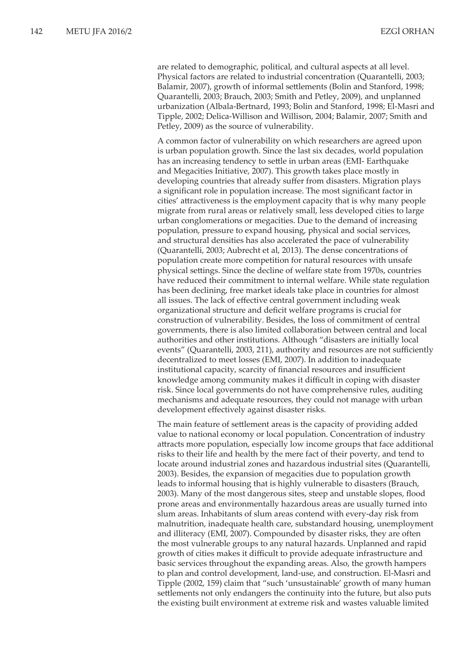are related to demographic, political, and cultural aspects at all level. Physical factors are related to industrial concentration (Quarantelli, 2003; Balamir, 2007), growth of informal settlements (Bolin and Stanford, 1998; Quarantelli, 2003; Brauch, 2003; Smith and Petley, 2009), and unplanned urbanization (Albala-Bertnard, 1993; Bolin and Stanford, 1998; El-Masri and Tipple, 2002; Delica-Willison and Willison, 2004; Balamir, 2007; Smith and Petley, 2009) as the source of vulnerability.

A common factor of vulnerability on which researchers are agreed upon is urban population growth. Since the last six decades, world population has an increasing tendency to settle in urban areas (EMI- Earthquake and Megacities Initiative, 2007). This growth takes place mostly in developing countries that already suffer from disasters. Migration plays a significant role in population increase. The most significant factor in cities' attractiveness is the employment capacity that is why many people migrate from rural areas or relatively small, less developed cities to large urban conglomerations or megacities. Due to the demand of increasing population, pressure to expand housing, physical and social services, and structural densities has also accelerated the pace of vulnerability (Quarantelli, 2003; Aubrecht et al, 2013). The dense concentrations of population create more competition for natural resources with unsafe physical settings. Since the decline of welfare state from 1970s, countries have reduced their commitment to internal welfare. While state regulation has been declining, free market ideals take place in countries for almost all issues. The lack of effective central government including weak organizational structure and deficit welfare programs is crucial for construction of vulnerability. Besides, the loss of commitment of central governments, there is also limited collaboration between central and local authorities and other institutions. Although "disasters are initially local events" (Quarantelli, 2003, 211), authority and resources are not sufficiently decentralized to meet losses (EMI, 2007). In addition to inadequate institutional capacity, scarcity of financial resources and insufficient knowledge among community makes it difficult in coping with disaster risk. Since local governments do not have comprehensive rules, auditing mechanisms and adequate resources, they could not manage with urban development effectively against disaster risks.

The main feature of settlement areas is the capacity of providing added value to national economy or local population. Concentration of industry attracts more population, especially low income groups that face additional risks to their life and health by the mere fact of their poverty, and tend to locate around industrial zones and hazardous industrial sites (Quarantelli, 2003). Besides, the expansion of megacities due to population growth leads to informal housing that is highly vulnerable to disasters (Brauch, 2003). Many of the most dangerous sites, steep and unstable slopes, flood prone areas and environmentally hazardous areas are usually turned into slum areas. Inhabitants of slum areas contend with every-day risk from malnutrition, inadequate health care, substandard housing, unemployment and illiteracy (EMI, 2007). Compounded by disaster risks, they are often the most vulnerable groups to any natural hazards. Unplanned and rapid growth of cities makes it difficult to provide adequate infrastructure and basic services throughout the expanding areas. Also, the growth hampers to plan and control development, land-use, and construction. El-Masri and Tipple (2002, 159) claim that "such 'unsustainable' growth of many human settlements not only endangers the continuity into the future, but also puts the existing built environment at extreme risk and wastes valuable limited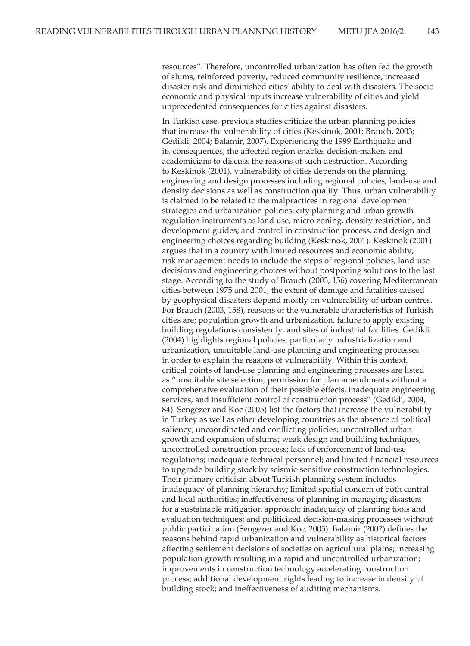resources". Therefore, uncontrolled urbanization has often fed the growth of slums, reinforced poverty, reduced community resilience, increased disaster risk and diminished cities' ability to deal with disasters. The socioeconomic and physical inputs increase vulnerability of cities and yield unprecedented consequences for cities against disasters.

In Turkish case, previous studies criticize the urban planning policies that increase the vulnerability of cities (Keskinok, 2001; Brauch, 2003; Gedikli, 2004; Balamir, 2007). Experiencing the 1999 Earthquake and its consequences, the affected region enables decision-makers and academicians to discuss the reasons of such destruction. According to Keskinok (2001), vulnerability of cities depends on the planning, engineering and design processes including regional policies, land-use and density decisions as well as construction quality. Thus, urban vulnerability is claimed to be related to the malpractices in regional development strategies and urbanization policies; city planning and urban growth regulation instruments as land use, micro zoning, density restriction, and development guides; and control in construction process, and design and engineering choices regarding building (Keskinok, 2001). Keskinok (2001) argues that in a country with limited resources and economic ability, risk management needs to include the steps of regional policies, land-use decisions and engineering choices without postponing solutions to the last stage. According to the study of Brauch (2003, 156) covering Mediterranean cities between 1975 and 2001, the extent of damage and fatalities caused by geophysical disasters depend mostly on vulnerability of urban centres. For Brauch (2003, 158), reasons of the vulnerable characteristics of Turkish cities are; population growth and urbanization, failure to apply existing building regulations consistently, and sites of industrial facilities. Gedikli (2004) highlights regional policies, particularly industrialization and urbanization, unsuitable land-use planning and engineering processes in order to explain the reasons of vulnerability. Within this context, critical points of land-use planning and engineering processes are listed as "unsuitable site selection, permission for plan amendments without a comprehensive evaluation of their possible effects, inadequate engineering services, and insufficient control of construction process" (Gedikli, 2004, 84). Sengezer and Koc (2005) list the factors that increase the vulnerability in Turkey as well as other developing countries as the absence of political saliency; uncoordinated and conflicting policies; uncontrolled urban growth and expansion of slums; weak design and building techniques; uncontrolled construction process; lack of enforcement of land-use regulations; inadequate technical personnel; and limited financial resources to upgrade building stock by seismic-sensitive construction technologies. Their primary criticism about Turkish planning system includes inadequacy of planning hierarchy; limited spatial concern of both central and local authorities; ineffectiveness of planning in managing disasters for a sustainable mitigation approach; inadequacy of planning tools and evaluation techniques; and politicized decision-making processes without public participation (Sengezer and Koc, 2005). Balamir (2007) defines the reasons behind rapid urbanization and vulnerability as historical factors affecting settlement decisions of societies on agricultural plains; increasing population growth resulting in a rapid and uncontrolled urbanization; improvements in construction technology accelerating construction process; additional development rights leading to increase in density of building stock; and ineffectiveness of auditing mechanisms.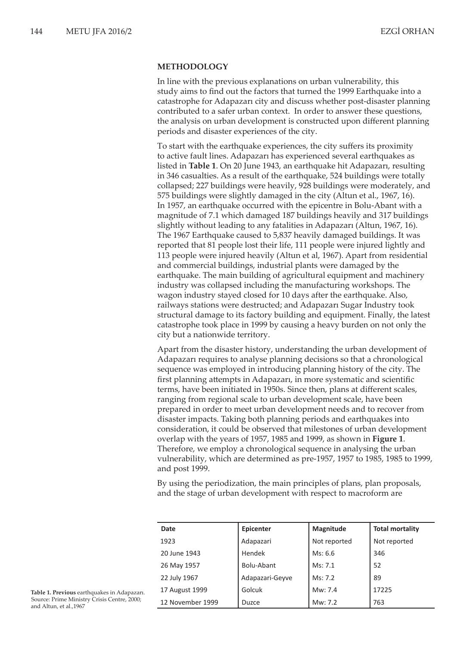### **METHODOLOGY**

In line with the previous explanations on urban vulnerability, this study aims to find out the factors that turned the 1999 Earthquake into a catastrophe for Adapazarı city and discuss whether post-disaster planning contributed to a safer urban context. In order to answer these questions, the analysis on urban development is constructed upon different planning periods and disaster experiences of the city.

To start with the earthquake experiences, the city suffers its proximity to active fault lines. Adapazarı has experienced several earthquakes as listed in **Table 1**. On 20 June 1943, an earthquake hit Adapazarı, resulting in 346 casualties. As a result of the earthquake, 524 buildings were totally collapsed; 227 buildings were heavily, 928 buildings were moderately, and 575 buildings were slightly damaged in the city (Altun et al., 1967, 16). In 1957, an earthquake occurred with the epicentre in Bolu-Abant with a magnitude of 7.1 which damaged 187 buildings heavily and 317 buildings slightly without leading to any fatalities in Adapazarı (Altun, 1967, 16). The 1967 Earthquake caused to 5,837 heavily damaged buildings. It was reported that 81 people lost their life, 111 people were injured lightly and 113 people were injured heavily (Altun et al, 1967). Apart from residential and commercial buildings, industrial plants were damaged by the earthquake. The main building of agricultural equipment and machinery industry was collapsed including the manufacturing workshops. The wagon industry stayed closed for 10 days after the earthquake. Also, railways stations were destructed; and Adapazarı Sugar Industry took structural damage to its factory building and equipment. Finally, the latest catastrophe took place in 1999 by causing a heavy burden on not only the city but a nationwide territory.

Apart from the disaster history, understanding the urban development of Adapazarı requires to analyse planning decisions so that a chronological sequence was employed in introducing planning history of the city. The first planning attempts in Adapazarı, in more systematic and scientific terms, have been initiated in 1950s. Since then, plans at different scales, ranging from regional scale to urban development scale, have been prepared in order to meet urban development needs and to recover from disaster impacts. Taking both planning periods and earthquakes into consideration, it could be observed that milestones of urban development overlap with the years of 1957, 1985 and 1999, as shown in **Figure 1**. Therefore, we employ a chronological sequence in analysing the urban vulnerability, which are determined as pre-1957, 1957 to 1985, 1985 to 1999, and post 1999.

By using the periodization, the main principles of plans, plan proposals, and the stage of urban development with respect to macroform are

| Date             | Epicenter       | Magnitude    | <b>Total mortality</b> |
|------------------|-----------------|--------------|------------------------|
| 1923             | Adapazari       | Not reported | Not reported           |
| 20 June 1943     | Hendek          | Ms: 6.6      | 346                    |
| 26 May 1957      | Bolu-Abant      | Ms: 7.1      | 52                     |
| 22 July 1967     | Adapazari-Geyve | Ms: 7.2      | 89                     |
| 17 August 1999   | Golcuk          | Mw: 7.4      | 17225                  |
| 12 November 1999 | Duzce           | Mw: 7.2      | 763                    |

**Table 1. Previous** earthquakes in Adapazarı. Source: Prime Ministry Crisis Centre, 2000; and Altun, et al.,1967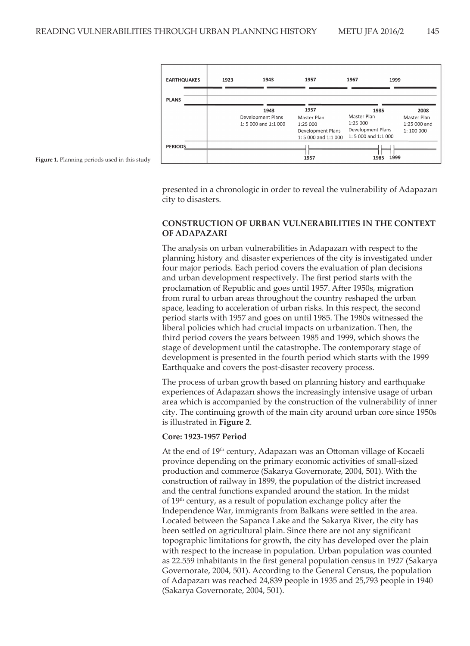

**Figure 1.** Planning periods used in this study

presented in a chronologic in order to reveal the vulnerability of Adapazarı city to disasters.

## **CONSTRUCTION OF URBAN VULNERABILITIES IN THE CONTEXT OF ADAPAZARI**

The analysis on urban vulnerabilities in Adapazarı with respect to the planning history and disaster experiences of the city is investigated under four major periods. Each period covers the evaluation of plan decisions and urban development respectively. The first period starts with the proclamation of Republic and goes until 1957. After 1950s, migration from rural to urban areas throughout the country reshaped the urban space, leading to acceleration of urban risks. In this respect, the second period starts with 1957 and goes on until 1985. The 1980s witnessed the liberal policies which had crucial impacts on urbanization. Then, the third period covers the years between 1985 and 1999, which shows the stage of development until the catastrophe. The contemporary stage of development is presented in the fourth period which starts with the 1999 Earthquake and covers the post-disaster recovery process.

The process of urban growth based on planning history and earthquake experiences of Adapazarı shows the increasingly intensive usage of urban area which is accompanied by the construction of the vulnerability of inner city. The continuing growth of the main city around urban core since 1950s is illustrated in **Figure 2**.

### **Core: 1923-1957 Period**

At the end of 19<sup>th</sup> century, Adapazarı was an Ottoman village of Kocaeli province depending on the primary economic activities of small-sized production and commerce (Sakarya Governorate, 2004, 501). With the construction of railway in 1899, the population of the district increased and the central functions expanded around the station. In the midst of  $19<sup>th</sup>$  century, as a result of population exchange policy after the Independence War, immigrants from Balkans were settled in the area. Located between the Sapanca Lake and the Sakarya River, the city has been settled on agricultural plain. Since there are not any significant topographic limitations for growth, the city has developed over the plain with respect to the increase in population. Urban population was counted as 22.559 inhabitants in the first general population census in 1927 (Sakarya Governorate, 2004, 501). According to the General Census, the population of Adapazarı was reached 24,839 people in 1935 and 25,793 people in 1940 (Sakarya Governorate, 2004, 501).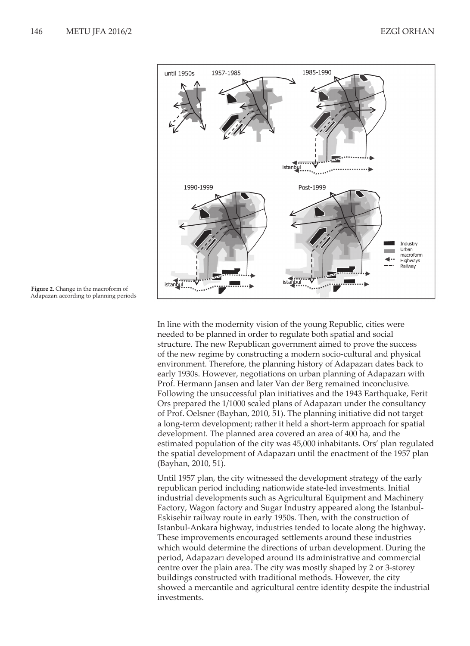

**Figure 2.** Change in the macroform of Adapazarı according to planning periods

In line with the modernity vision of the young Republic, cities were needed to be planned in order to regulate both spatial and social structure. The new Republican government aimed to prove the success of the new regime by constructing a modern socio-cultural and physical environment. Therefore, the planning history of Adapazarı dates back to early 1930s. However, negotiations on urban planning of Adapazarı with Prof. Hermann Jansen and later Van der Berg remained inconclusive. Following the unsuccessful plan initiatives and the 1943 Earthquake, Ferit Ors prepared the 1/1000 scaled plans of Adapazarı under the consultancy of Prof. Oelsner (Bayhan, 2010, 51). The planning initiative did not target a long-term development; rather it held a short-term approach for spatial development. The planned area covered an area of 400 ha, and the estimated population of the city was 45,000 inhabitants. Ors' plan regulated the spatial development of Adapazarı until the enactment of the 1957 plan (Bayhan, 2010, 51).

Until 1957 plan, the city witnessed the development strategy of the early republican period including nationwide state-led investments. Initial industrial developments such as Agricultural Equipment and Machinery Factory, Wagon factory and Sugar Industry appeared along the Istanbul-Eskisehir railway route in early 1950s. Then, with the construction of Istanbul-Ankara highway, industries tended to locate along the highway. These improvements encouraged settlements around these industries which would determine the directions of urban development. During the period, Adapazarı developed around its administrative and commercial centre over the plain area. The city was mostly shaped by 2 or 3-storey buildings constructed with traditional methods. However, the city showed a mercantile and agricultural centre identity despite the industrial investments.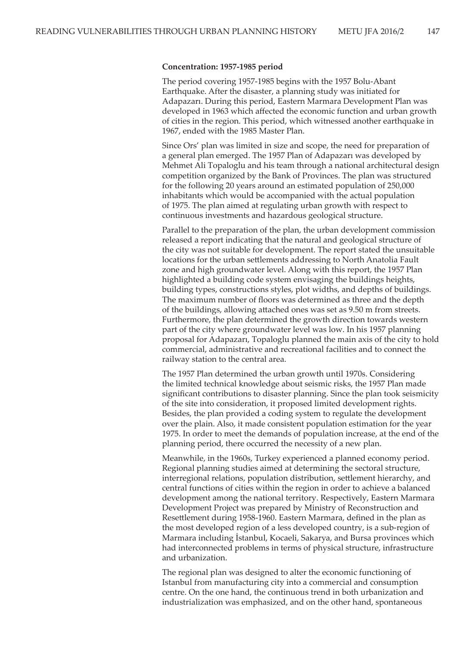#### **Concentration: 1957-1985 period**

The period covering 1957-1985 begins with the 1957 Bolu-Abant Earthquake. After the disaster, a planning study was initiated for Adapazarı. During this period, Eastern Marmara Development Plan was developed in 1963 which affected the economic function and urban growth of cities in the region. This period, which witnessed another earthquake in 1967, ended with the 1985 Master Plan.

Since Ors' plan was limited in size and scope, the need for preparation of a general plan emerged. The 1957 Plan of Adapazarı was developed by Mehmet Ali Topaloglu and his team through a national architectural design competition organized by the Bank of Provinces. The plan was structured for the following 20 years around an estimated population of 250,000 inhabitants which would be accompanied with the actual population of 1975. The plan aimed at regulating urban growth with respect to continuous investments and hazardous geological structure.

Parallel to the preparation of the plan, the urban development commission released a report indicating that the natural and geological structure of the city was not suitable for development. The report stated the unsuitable locations for the urban settlements addressing to North Anatolia Fault zone and high groundwater level. Along with this report, the 1957 Plan highlighted a building code system envisaging the buildings heights, building types, constructions styles, plot widths, and depths of buildings. The maximum number of floors was determined as three and the depth of the buildings, allowing attached ones was set as 9.50 m from streets. Furthermore, the plan determined the growth direction towards western part of the city where groundwater level was low. In his 1957 planning proposal for Adapazarı, Topaloglu planned the main axis of the city to hold commercial, administrative and recreational facilities and to connect the railway station to the central area.

The 1957 Plan determined the urban growth until 1970s. Considering the limited technical knowledge about seismic risks, the 1957 Plan made significant contributions to disaster planning. Since the plan took seismicity of the site into consideration, it proposed limited development rights. Besides, the plan provided a coding system to regulate the development over the plain. Also, it made consistent population estimation for the year 1975. In order to meet the demands of population increase, at the end of the planning period, there occurred the necessity of a new plan.

Meanwhile, in the 1960s, Turkey experienced a planned economy period. Regional planning studies aimed at determining the sectoral structure, interregional relations, population distribution, settlement hierarchy, and central functions of cities within the region in order to achieve a balanced development among the national territory. Respectively, Eastern Marmara Development Project was prepared by Ministry of Reconstruction and Resettlement during 1958-1960. Eastern Marmara, defined in the plan as the most developed region of a less developed country, is a sub-region of Marmara including İstanbul, Kocaeli, Sakarya, and Bursa provinces which had interconnected problems in terms of physical structure, infrastructure and urbanization.

The regional plan was designed to alter the economic functioning of Istanbul from manufacturing city into a commercial and consumption centre. On the one hand, the continuous trend in both urbanization and industrialization was emphasized, and on the other hand, spontaneous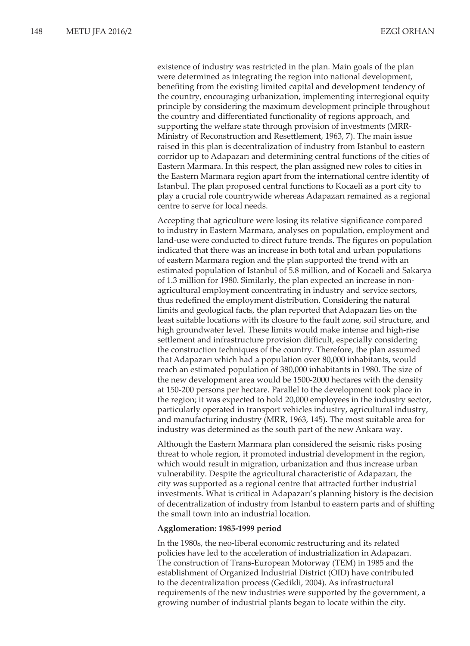existence of industry was restricted in the plan. Main goals of the plan were determined as integrating the region into national development, benefiting from the existing limited capital and development tendency of the country, encouraging urbanization, implementing interregional equity principle by considering the maximum development principle throughout the country and differentiated functionality of regions approach, and supporting the welfare state through provision of investments (MRR-Ministry of Reconstruction and Resettlement, 1963, 7). The main issue raised in this plan is decentralization of industry from Istanbul to eastern corridor up to Adapazarı and determining central functions of the cities of Eastern Marmara. In this respect, the plan assigned new roles to cities in the Eastern Marmara region apart from the international centre identity of Istanbul. The plan proposed central functions to Kocaeli as a port city to play a crucial role countrywide whereas Adapazarı remained as a regional centre to serve for local needs.

Accepting that agriculture were losing its relative significance compared to industry in Eastern Marmara, analyses on population, employment and land-use were conducted to direct future trends. The figures on population indicated that there was an increase in both total and urban populations of eastern Marmara region and the plan supported the trend with an estimated population of Istanbul of 5.8 million, and of Kocaeli and Sakarya of 1.3 million for 1980. Similarly, the plan expected an increase in nonagricultural employment concentrating in industry and service sectors, thus redefined the employment distribution. Considering the natural limits and geological facts, the plan reported that Adapazarı lies on the least suitable locations with its closure to the fault zone, soil structure, and high groundwater level. These limits would make intense and high-rise settlement and infrastructure provision difficult, especially considering the construction techniques of the country. Therefore, the plan assumed that Adapazarı which had a population over 80,000 inhabitants, would reach an estimated population of 380,000 inhabitants in 1980. The size of the new development area would be 1500-2000 hectares with the density at 150-200 persons per hectare. Parallel to the development took place in the region; it was expected to hold 20,000 employees in the industry sector, particularly operated in transport vehicles industry, agricultural industry, and manufacturing industry (MRR, 1963, 145). The most suitable area for industry was determined as the south part of the new Ankara way.

Although the Eastern Marmara plan considered the seismic risks posing threat to whole region, it promoted industrial development in the region, which would result in migration, urbanization and thus increase urban vulnerability. Despite the agricultural characteristic of Adapazarı, the city was supported as a regional centre that attracted further industrial investments. What is critical in Adapazarı's planning history is the decision of decentralization of industry from Istanbul to eastern parts and of shifting the small town into an industrial location.

#### **Agglomeration: 1985-1999 period**

In the 1980s, the neo-liberal economic restructuring and its related policies have led to the acceleration of industrialization in Adapazarı. The construction of Trans-European Motorway (TEM) in 1985 and the establishment of Organized Industrial District (OID) have contributed to the decentralization process (Gedikli, 2004). As infrastructural requirements of the new industries were supported by the government, a growing number of industrial plants began to locate within the city.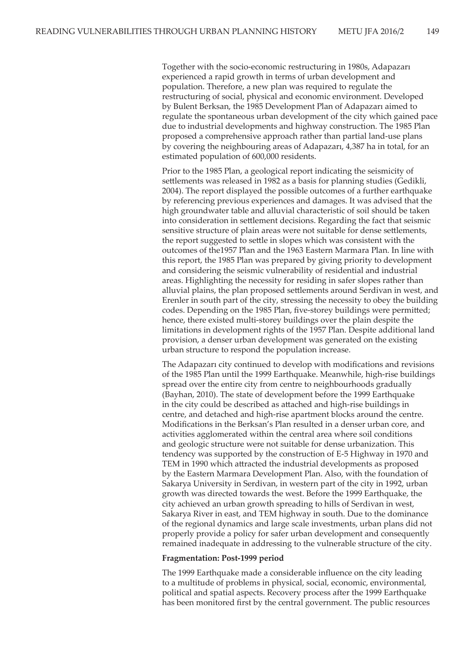Together with the socio-economic restructuring in 1980s, Adapazarı experienced a rapid growth in terms of urban development and population. Therefore, a new plan was required to regulate the restructuring of social, physical and economic environment. Developed by Bulent Berksan, the 1985 Development Plan of Adapazarı aimed to regulate the spontaneous urban development of the city which gained pace due to industrial developments and highway construction. The 1985 Plan proposed a comprehensive approach rather than partial land-use plans by covering the neighbouring areas of Adapazarı, 4,387 ha in total, for an estimated population of 600,000 residents.

Prior to the 1985 Plan, a geological report indicating the seismicity of settlements was released in 1982 as a basis for planning studies (Gedikli, 2004). The report displayed the possible outcomes of a further earthquake by referencing previous experiences and damages. It was advised that the high groundwater table and alluvial characteristic of soil should be taken into consideration in settlement decisions. Regarding the fact that seismic sensitive structure of plain areas were not suitable for dense settlements, the report suggested to settle in slopes which was consistent with the outcomes of the1957 Plan and the 1963 Eastern Marmara Plan. In line with this report, the 1985 Plan was prepared by giving priority to development and considering the seismic vulnerability of residential and industrial areas. Highlighting the necessity for residing in safer slopes rather than alluvial plains, the plan proposed settlements around Serdivan in west, and Erenler in south part of the city, stressing the necessity to obey the building codes. Depending on the 1985 Plan, five-storey buildings were permitted; hence, there existed multi-storey buildings over the plain despite the limitations in development rights of the 1957 Plan. Despite additional land provision, a denser urban development was generated on the existing urban structure to respond the population increase.

The Adapazarı city continued to develop with modifications and revisions of the 1985 Plan until the 1999 Earthquake. Meanwhile, high-rise buildings spread over the entire city from centre to neighbourhoods gradually (Bayhan, 2010). The state of development before the 1999 Earthquake in the city could be described as attached and high-rise buildings in centre, and detached and high-rise apartment blocks around the centre. Modifications in the Berksan's Plan resulted in a denser urban core, and activities agglomerated within the central area where soil conditions and geologic structure were not suitable for dense urbanization. This tendency was supported by the construction of E-5 Highway in 1970 and TEM in 1990 which attracted the industrial developments as proposed by the Eastern Marmara Development Plan. Also, with the foundation of Sakarya University in Serdivan, in western part of the city in 1992, urban growth was directed towards the west. Before the 1999 Earthquake, the city achieved an urban growth spreading to hills of Serdivan in west, Sakarya River in east, and TEM highway in south. Due to the dominance of the regional dynamics and large scale investments, urban plans did not properly provide a policy for safer urban development and consequently remained inadequate in addressing to the vulnerable structure of the city.

### **Fragmentation: Post-1999 period**

The 1999 Earthquake made a considerable influence on the city leading to a multitude of problems in physical, social, economic, environmental, political and spatial aspects. Recovery process after the 1999 Earthquake has been monitored first by the central government. The public resources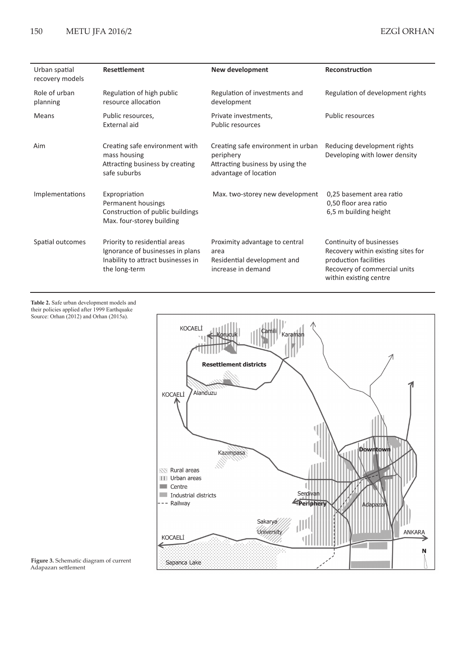# 150 METU JFA 2016/2

| Urban spatial<br>recovery models | <b>Resettlement</b>                                                                                                      | New development                                                                                              | Reconstruction                                                                                                                                    |
|----------------------------------|--------------------------------------------------------------------------------------------------------------------------|--------------------------------------------------------------------------------------------------------------|---------------------------------------------------------------------------------------------------------------------------------------------------|
| Role of urban<br>planning        | Regulation of high public<br>resource allocation                                                                         | Regulation of investments and<br>development                                                                 | Regulation of development rights                                                                                                                  |
| <b>Means</b>                     | Public resources,<br>External aid                                                                                        | Private investments,<br><b>Public resources</b>                                                              | <b>Public resources</b>                                                                                                                           |
| Aim                              | Creating safe environment with<br>mass housing<br>Attracting business by creating<br>safe suburbs                        | Creating safe environment in urban<br>periphery<br>Attracting business by using the<br>advantage of location | Reducing development rights<br>Developing with lower density                                                                                      |
| Implementations                  | Expropriation<br>Permanent housings<br>Construction of public buildings<br>Max. four-storey building                     | Max. two-storey new development                                                                              | 0,25 basement area ratio<br>0,50 floor area ratio<br>6,5 m building height                                                                        |
| Spatial outcomes                 | Priority to residential areas<br>Ignorance of businesses in plans<br>Inability to attract businesses in<br>the long-term | Proximity advantage to central<br>area<br>Residential development and<br>increase in demand                  | Continuity of businesses<br>Recovery within existing sites for<br>production facilities<br>Recovery of commercial units<br>within existing centre |

**Table 2.** Safe urban development models and their policies applied after 1999 Earthquake Source: Orhan (2012) and Orhan (2015a).



**Figure 3.** Schematic diagram of current Adapazarı settlement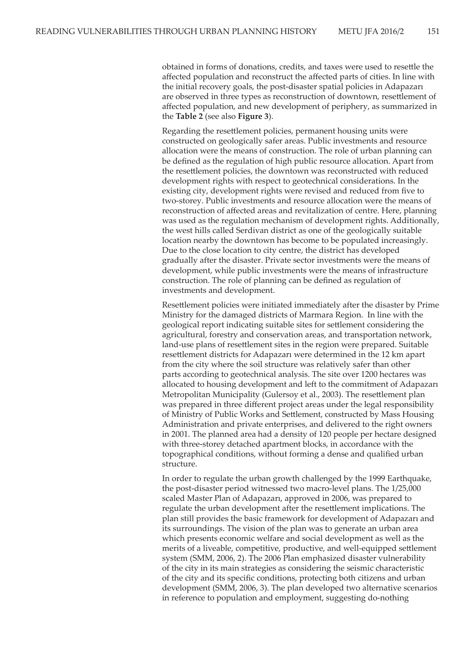obtained in forms of donations, credits, and taxes were used to resettle the affected population and reconstruct the affected parts of cities. In line with the initial recovery goals, the post-disaster spatial policies in Adapazarı are observed in three types as reconstruction of downtown, resettlement of affected population, and new development of periphery, as summarized in the **Table 2** (see also **Figure 3**).

Regarding the resettlement policies, permanent housing units were constructed on geologically safer areas. Public investments and resource allocation were the means of construction. The role of urban planning can be defined as the regulation of high public resource allocation. Apart from the resettlement policies, the downtown was reconstructed with reduced development rights with respect to geotechnical considerations. In the existing city, development rights were revised and reduced from five to two-storey. Public investments and resource allocation were the means of reconstruction of affected areas and revitalization of centre. Here, planning was used as the regulation mechanism of development rights. Additionally, the west hills called Serdivan district as one of the geologically suitable location nearby the downtown has become to be populated increasingly. Due to the close location to city centre, the district has developed gradually after the disaster. Private sector investments were the means of development, while public investments were the means of infrastructure construction. The role of planning can be defined as regulation of investments and development.

Resettlement policies were initiated immediately after the disaster by Prime Ministry for the damaged districts of Marmara Region. In line with the geological report indicating suitable sites for settlement considering the agricultural, forestry and conservation areas, and transportation network, land-use plans of resettlement sites in the region were prepared. Suitable resettlement districts for Adapazarı were determined in the 12 km apart from the city where the soil structure was relatively safer than other parts according to geotechnical analysis. The site over 1200 hectares was allocated to housing development and left to the commitment of Adapazarı Metropolitan Municipality (Gulersoy et al., 2003). The resettlement plan was prepared in three different project areas under the legal responsibility of Ministry of Public Works and Settlement, constructed by Mass Housing Administration and private enterprises, and delivered to the right owners in 2001. The planned area had a density of 120 people per hectare designed with three-storey detached apartment blocks, in accordance with the topographical conditions, without forming a dense and qualified urban structure.

In order to regulate the urban growth challenged by the 1999 Earthquake, the post-disaster period witnessed two macro-level plans. The 1/25,000 scaled Master Plan of Adapazarı, approved in 2006, was prepared to regulate the urban development after the resettlement implications. The plan still provides the basic framework for development of Adapazarı and its surroundings. The vision of the plan was to generate an urban area which presents economic welfare and social development as well as the merits of a liveable, competitive, productive, and well-equipped settlement system (SMM, 2006, 2). The 2006 Plan emphasized disaster vulnerability of the city in its main strategies as considering the seismic characteristic of the city and its specific conditions, protecting both citizens and urban development (SMM, 2006, 3). The plan developed two alternative scenarios in reference to population and employment, suggesting do-nothing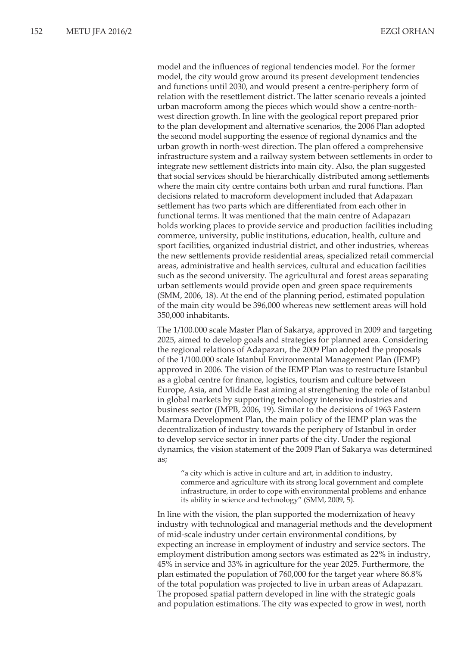model and the influences of regional tendencies model. For the former model, the city would grow around its present development tendencies and functions until 2030, and would present a centre-periphery form of relation with the resettlement district. The latter scenario reveals a jointed urban macroform among the pieces which would show a centre-northwest direction growth. In line with the geological report prepared prior to the plan development and alternative scenarios, the 2006 Plan adopted the second model supporting the essence of regional dynamics and the urban growth in north-west direction. The plan offered a comprehensive infrastructure system and a railway system between settlements in order to integrate new settlement districts into main city. Also, the plan suggested that social services should be hierarchically distributed among settlements where the main city centre contains both urban and rural functions. Plan decisions related to macroform development included that Adapazarı settlement has two parts which are differentiated from each other in functional terms. It was mentioned that the main centre of Adapazarı holds working places to provide service and production facilities including commerce, university, public institutions, education, health, culture and sport facilities, organized industrial district, and other industries, whereas the new settlements provide residential areas, specialized retail commercial areas, administrative and health services, cultural and education facilities such as the second university. The agricultural and forest areas separating urban settlements would provide open and green space requirements (SMM, 2006, 18). At the end of the planning period, estimated population of the main city would be 396,000 whereas new settlement areas will hold 350,000 inhabitants.

The 1/100.000 scale Master Plan of Sakarya, approved in 2009 and targeting 2025, aimed to develop goals and strategies for planned area. Considering the regional relations of Adapazarı, the 2009 Plan adopted the proposals of the 1/100.000 scale Istanbul Environmental Management Plan (IEMP) approved in 2006. The vision of the IEMP Plan was to restructure Istanbul as a global centre for finance, logistics, tourism and culture between Europe, Asia, and Middle East aiming at strengthening the role of Istanbul in global markets by supporting technology intensive industries and business sector (IMPB, 2006, 19). Similar to the decisions of 1963 Eastern Marmara Development Plan, the main policy of the IEMP plan was the decentralization of industry towards the periphery of Istanbul in order to develop service sector in inner parts of the city. Under the regional dynamics, the vision statement of the 2009 Plan of Sakarya was determined as;

"a city which is active in culture and art, in addition to industry, commerce and agriculture with its strong local government and complete infrastructure, in order to cope with environmental problems and enhance its ability in science and technology" (SMM, 2009, 5).

In line with the vision, the plan supported the modernization of heavy industry with technological and managerial methods and the development of mid-scale industry under certain environmental conditions, by expecting an increase in employment of industry and service sectors. The employment distribution among sectors was estimated as 22% in industry, 45% in service and 33% in agriculture for the year 2025. Furthermore, the plan estimated the population of 760,000 for the target year where 86.8% of the total population was projected to live in urban areas of Adapazarı. The proposed spatial pattern developed in line with the strategic goals and population estimations. The city was expected to grow in west, north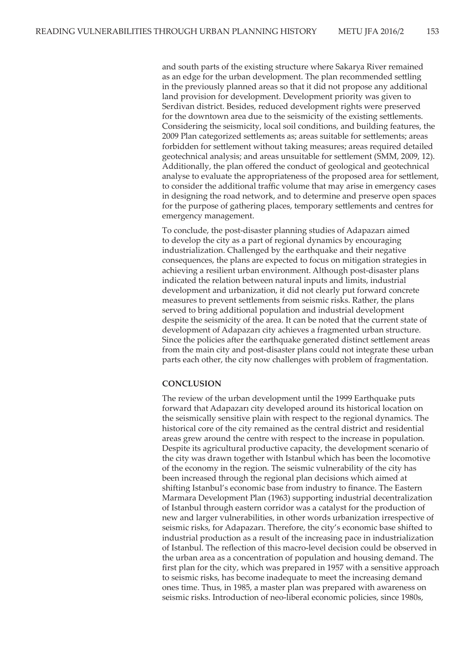and south parts of the existing structure where Sakarya River remained as an edge for the urban development. The plan recommended settling in the previously planned areas so that it did not propose any additional land provision for development. Development priority was given to Serdivan district. Besides, reduced development rights were preserved for the downtown area due to the seismicity of the existing settlements. Considering the seismicity, local soil conditions, and building features, the 2009 Plan categorized settlements as; areas suitable for settlements; areas forbidden for settlement without taking measures; areas required detailed geotechnical analysis; and areas unsuitable for settlement (SMM, 2009, 12). Additionally, the plan offered the conduct of geological and geotechnical analyse to evaluate the appropriateness of the proposed area for settlement, to consider the additional traffic volume that may arise in emergency cases in designing the road network, and to determine and preserve open spaces for the purpose of gathering places, temporary settlements and centres for emergency management.

To conclude, the post-disaster planning studies of Adapazarı aimed to develop the city as a part of regional dynamics by encouraging industrialization. Challenged by the earthquake and their negative consequences, the plans are expected to focus on mitigation strategies in achieving a resilient urban environment. Although post-disaster plans indicated the relation between natural inputs and limits, industrial development and urbanization, it did not clearly put forward concrete measures to prevent settlements from seismic risks. Rather, the plans served to bring additional population and industrial development despite the seismicity of the area. It can be noted that the current state of development of Adapazarı city achieves a fragmented urban structure. Since the policies after the earthquake generated distinct settlement areas from the main city and post-disaster plans could not integrate these urban parts each other, the city now challenges with problem of fragmentation.

### **CONCLUSION**

The review of the urban development until the 1999 Earthquake puts forward that Adapazarı city developed around its historical location on the seismically sensitive plain with respect to the regional dynamics. The historical core of the city remained as the central district and residential areas grew around the centre with respect to the increase in population. Despite its agricultural productive capacity, the development scenario of the city was drawn together with Istanbul which has been the locomotive of the economy in the region. The seismic vulnerability of the city has been increased through the regional plan decisions which aimed at shifting Istanbul's economic base from industry to finance. The Eastern Marmara Development Plan (1963) supporting industrial decentralization of Istanbul through eastern corridor was a catalyst for the production of new and larger vulnerabilities, in other words urbanization irrespective of seismic risks, for Adapazarı. Therefore, the city's economic base shifted to industrial production as a result of the increasing pace in industrialization of Istanbul. The reflection of this macro-level decision could be observed in the urban area as a concentration of population and housing demand. The first plan for the city, which was prepared in 1957 with a sensitive approach to seismic risks, has become inadequate to meet the increasing demand ones time. Thus, in 1985, a master plan was prepared with awareness on seismic risks. Introduction of neo-liberal economic policies, since 1980s,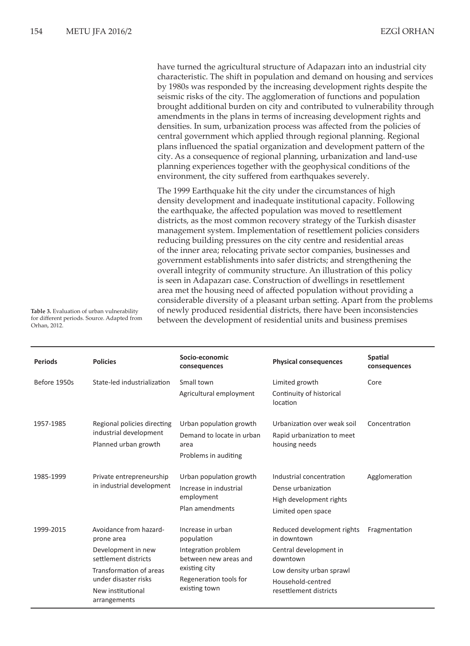have turned the agricultural structure of Adapazarı into an industrial city characteristic. The shift in population and demand on housing and services by 1980s was responded by the increasing development rights despite the seismic risks of the city. The agglomeration of functions and population brought additional burden on city and contributed to vulnerability through amendments in the plans in terms of increasing development rights and densities. In sum, urbanization process was affected from the policies of central government which applied through regional planning. Regional plans influenced the spatial organization and development pattern of the city. As a consequence of regional planning, urbanization and land-use planning experiences together with the geophysical conditions of the environment, the city suffered from earthquakes severely.

The 1999 Earthquake hit the city under the circumstances of high density development and inadequate institutional capacity. Following the earthquake, the affected population was moved to resettlement districts, as the most common recovery strategy of the Turkish disaster management system. Implementation of resettlement policies considers reducing building pressures on the city centre and residential areas of the inner area; relocating private sector companies, businesses and government establishments into safer districts; and strengthening the overall integrity of community structure. An illustration of this policy is seen in Adapazarı case. Construction of dwellings in resettlement area met the housing need of affected population without providing a considerable diversity of a pleasant urban setting. Apart from the problems of newly produced residential districts, there have been inconsistencies between the development of residential units and business premises

**Table 3.** Evaluation of urban vulnerability for different periods. Source. Adapted from Orhan, 2012.

| <b>Periods</b> | <b>Policies</b>                                                                                                                                                            | Socio-economic<br>consequences                                                                                                              | <b>Physical consequences</b>                                                                                                                               | <b>Spatial</b><br>consequences |
|----------------|----------------------------------------------------------------------------------------------------------------------------------------------------------------------------|---------------------------------------------------------------------------------------------------------------------------------------------|------------------------------------------------------------------------------------------------------------------------------------------------------------|--------------------------------|
| Before 1950s   | State-led industrialization                                                                                                                                                | Small town<br>Agricultural employment                                                                                                       | Limited growth<br>Continuity of historical<br>location                                                                                                     | Core                           |
| 1957-1985      | Regional policies directing<br>industrial development<br>Planned urban growth                                                                                              | Urban population growth<br>Demand to locate in urban<br>area<br>Problems in auditing                                                        | Urbanization over weak soil<br>Rapid urbanization to meet<br>housing needs                                                                                 | Concentration                  |
| 1985-1999      | Private entrepreneurship<br>in industrial development                                                                                                                      | Urban population growth<br>Increase in industrial<br>employment<br>Plan amendments                                                          | Industrial concentration<br>Dense urbanization<br>High development rights<br>Limited open space                                                            | Agglomeration                  |
| 1999-2015      | Avoidance from hazard-<br>prone area<br>Development in new<br>settlement districts<br>Transformation of areas<br>under disaster risks<br>New institutional<br>arrangements | Increase in urban<br>population<br>Integration problem<br>between new areas and<br>existing city<br>Regeneration tools for<br>existing town | Reduced development rights<br>in downtown<br>Central development in<br>downtown<br>Low density urban sprawl<br>Household-centred<br>resettlement districts | Fragmentation                  |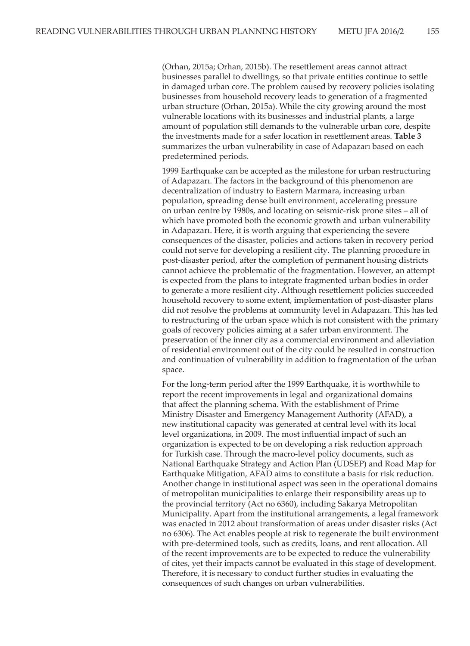(Orhan, 2015a; Orhan, 2015b). The resettlement areas cannot attract businesses parallel to dwellings, so that private entities continue to settle in damaged urban core. The problem caused by recovery policies isolating businesses from household recovery leads to generation of a fragmented urban structure (Orhan, 2015a). While the city growing around the most vulnerable locations with its businesses and industrial plants, a large amount of population still demands to the vulnerable urban core, despite the investments made for a safer location in resettlement areas. **Table 3** summarizes the urban vulnerability in case of Adapazarı based on each predetermined periods.

1999 Earthquake can be accepted as the milestone for urban restructuring of Adapazarı. The factors in the background of this phenomenon are decentralization of industry to Eastern Marmara, increasing urban population, spreading dense built environment, accelerating pressure on urban centre by 1980s, and locating on seismic-risk prone sites – all of which have promoted both the economic growth and urban vulnerability in Adapazarı. Here, it is worth arguing that experiencing the severe consequences of the disaster, policies and actions taken in recovery period could not serve for developing a resilient city. The planning procedure in post-disaster period, after the completion of permanent housing districts cannot achieve the problematic of the fragmentation. However, an attempt is expected from the plans to integrate fragmented urban bodies in order to generate a more resilient city. Although resettlement policies succeeded household recovery to some extent, implementation of post-disaster plans did not resolve the problems at community level in Adapazarı. This has led to restructuring of the urban space which is not consistent with the primary goals of recovery policies aiming at a safer urban environment. The preservation of the inner city as a commercial environment and alleviation of residential environment out of the city could be resulted in construction and continuation of vulnerability in addition to fragmentation of the urban space.

For the long-term period after the 1999 Earthquake, it is worthwhile to report the recent improvements in legal and organizational domains that affect the planning schema. With the establishment of Prime Ministry Disaster and Emergency Management Authority (AFAD), a new institutional capacity was generated at central level with its local level organizations, in 2009. The most influential impact of such an organization is expected to be on developing a risk reduction approach for Turkish case. Through the macro-level policy documents, such as National Earthquake Strategy and Action Plan (UDSEP) and Road Map for Earthquake Mitigation, AFAD aims to constitute a basis for risk reduction. Another change in institutional aspect was seen in the operational domains of metropolitan municipalities to enlarge their responsibility areas up to the provincial territory (Act no 6360), including Sakarya Metropolitan Municipality. Apart from the institutional arrangements, a legal framework was enacted in 2012 about transformation of areas under disaster risks (Act no 6306). The Act enables people at risk to regenerate the built environment with pre-determined tools, such as credits, loans, and rent allocation. All of the recent improvements are to be expected to reduce the vulnerability of cites, yet their impacts cannot be evaluated in this stage of development. Therefore, it is necessary to conduct further studies in evaluating the consequences of such changes on urban vulnerabilities.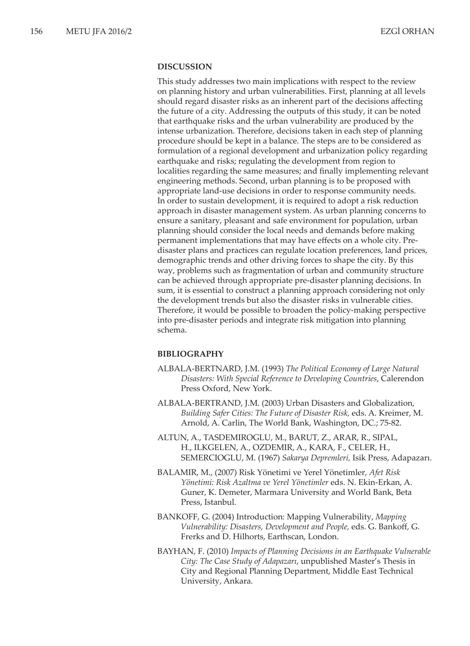### **DISCUSSION**

This study addresses two main implications with respect to the review on planning history and urban vulnerabilities. First, planning at all levels should regard disaster risks as an inherent part of the decisions affecting the future of a city. Addressing the outputs of this study, it can be noted that earthquake risks and the urban vulnerability are produced by the intense urbanization. Therefore, decisions taken in each step of planning procedure should be kept in a balance. The steps are to be considered as formulation of a regional development and urbanization policy regarding earthquake and risks; regulating the development from region to localities regarding the same measures; and finally implementing relevant engineering methods. Second, urban planning is to be proposed with appropriate land-use decisions in order to response community needs. In order to sustain development, it is required to adopt a risk reduction approach in disaster management system. As urban planning concerns to ensure a sanitary, pleasant and safe environment for population, urban planning should consider the local needs and demands before making permanent implementations that may have effects on a whole city. Predisaster plans and practices can regulate location preferences, land prices, demographic trends and other driving forces to shape the city. By this way, problems such as fragmentation of urban and community structure can be achieved through appropriate pre-disaster planning decisions. In sum, it is essential to construct a planning approach considering not only the development trends but also the disaster risks in vulnerable cities. Therefore, it would be possible to broaden the policy-making perspective into pre-disaster periods and integrate risk mitigation into planning schema.

### **BIBLIOGRAPHY**

- ALBALA-BERTNARD, J.M. (1993) *The Political Economy of Large Natural Disasters: With Special Reference to Developing Countries*, Calerendon Press Oxford, New York.
- ALBALA-BERTRAND, J.M. (2003) Urban Disasters and Globalization, *Building Safer Cities: The Future of Disaster Risk,* eds. A. Kreimer, M. Arnold, A. Carlin, The World Bank, Washington, DC.; 75-82.
- ALTUN, A., TASDEMIROGLU, M., BARUT, Z., ARAR, R., SIPAL, H., ILKGELEN, A., OZDEMIR, A., KARA, F., CELER, H., SEMERCIOGLU, M. (1967) *Sakarya Depremleri,* Isik Press, Adapazarı.
- BALAMIR, M., (2007) Risk Yönetimi ve Yerel Yönetimler, *Afet Risk Yönetimi: Risk Azaltma ve Yerel Yönetimler* eds. N. Ekin-Erkan, A. Guner, K. Demeter, Marmara University and World Bank, Beta Press, Istanbul.
- BANKOFF, G. (2004) Introduction: Mapping Vulnerability, *Mapping Vulnerability: Disasters, Development and People,* eds. G. Bankoff, G. Frerks and D. Hilhorts, Earthscan, London.
- BAYHAN, F. (2010) *Impacts of Planning Decisions in an Earthquake Vulnerable City: The Case Study of Adapazarı*, unpublished Master's Thesis in City and Regional Planning Department, Middle East Technical University, Ankara.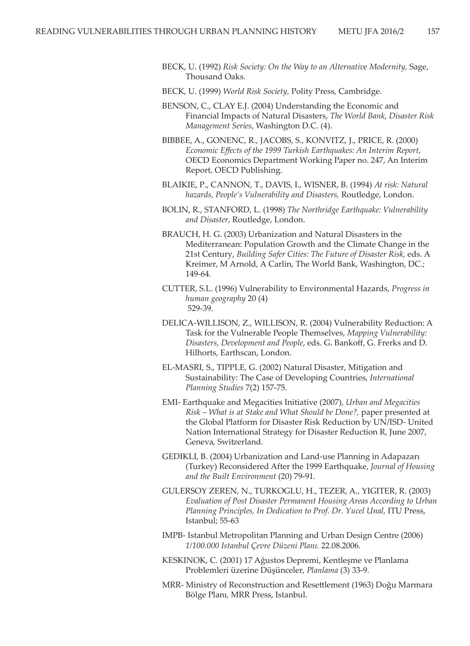- BECK, U. (1992) *Risk Society: On the Way to an Alternative Modernity,* Sage, Thousand Oaks.
- BECK, U. (1999) *World Risk Society,* Polity Press, Cambridge.
- BENSON, C., CLAY E.J. (2004) Understanding the Economic and Financial Impacts of Natural Disasters, *The World Bank, Disaster Risk Management Series*, Washington D.C. (4).
- BIBBEE, A., GONENC, R., JACOBS, S., KONVITZ, J., PRICE, R. (2000) *Economic Effects of the 1999 Turkish Earthquakes: An Interim Report*, OECD Economics Department Working Paper no. 247, An Interim Report, OECD Publishing.
- BLAIKIE, P., CANNON, T., DAVIS, I., WISNER, B. (1994) *At risk: Natural hazards, People's Vulnerability and Disasters,* Routledge, London.
- BOLIN, R., STANFORD, L. (1998) *The Northridge Earthquake: Vulnerability and Disaster*, Routledge, London.
- BRAUCH, H. G. (2003) Urbanization and Natural Disasters in the Mediterranean: Population Growth and the Climate Change in the 21st Century, *Building Safer Cities: The Future of Disaster Risk,* eds. A Kreimer, M Arnold, A Carlin, The World Bank, Washington, DC.; 149-64.
- CUTTER, S.L. (1996) Vulnerability to Environmental Hazards, *Progress in human geography* 20 (4) 529-39.
- DELICA-WILLISON, Z., WILLISON, R. (2004) Vulnerability Reduction: A Task for the Vulnerable People Themselves, *Mapping Vulnerability: Disasters, Development and People*, eds. G. Bankoff, G. Frerks and D. Hilhorts, Earthscan, London.
- EL-MASRI, S., TIPPLE, G. (2002) Natural Disaster, Mitigation and Sustainability: The Case of Developing Countries, *International Planning Studies* 7(2) 157-75.
- EMI- Earthquake and Megacities Initiative (2007), *Urban and Megacities Risk – What is at Stake and What Should be Done?,* paper presented at the Global Platform for Disaster Risk Reduction by UN/ISD- United Nation International Strategy for Disaster Reduction R, June 2007, Geneva, Switzerland.
- GEDIKLI, B. (2004) Urbanization and Land-use Planning in Adapazarı (Turkey) Reconsidered After the 1999 Earthquake, *Journal of Housing and the Built Environment* (20) 79-91.
- GULERSOY ZEREN, N., TURKOGLU, H., TEZER, A., YIGITER, R. (2003) *Evaluation of Post Disaster Permanent Housing Areas According to Urban Planning Principles, In Dedication to Prof. Dr. Yucel Unal, ITU Press,* Istanbul; 55-63
- IMPB- Istanbul Metropolitan Planning and Urban Design Centre (2006) *1/100.000 Istanbul Çevre Düzeni Planı.* 22.08.2006.
- KESKINOK, C. (2001) 17 Ağustos Depremi, Kentleşme ve Planlama Problemleri üzerine Düşünceler, *Planlama* (3) 33-9.
- MRR- Ministry of Reconstruction and Resettlement (1963) Doğu Marmara Bölge Planı*,* MRR Press, Istanbul.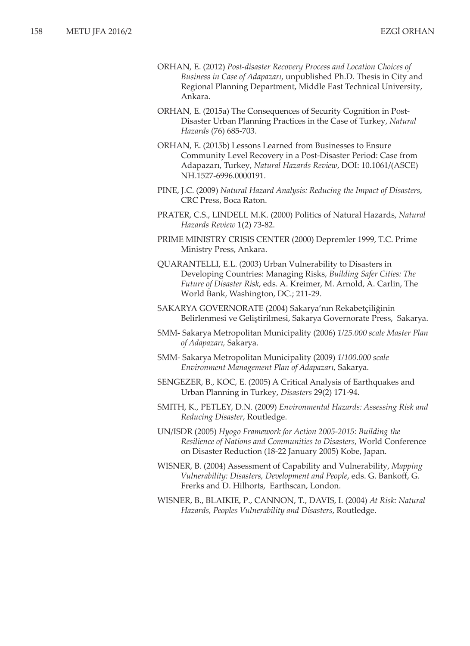- ORHAN, E. (2012) *Post-disaster Recovery Process and Location Choices of Business in Case of Adapazarı*, unpublished Ph.D. Thesis in City and Regional Planning Department, Middle East Technical University, Ankara.
- ORHAN, E. (2015a) The Consequences of Security Cognition in Post-Disaster Urban Planning Practices in the Case of Turkey, *Natural Hazards* (76) 685-703.
- ORHAN, E. (2015b) Lessons Learned from Businesses to Ensure Community Level Recovery in a Post-Disaster Period: Case from Adapazarı, Turkey, *Natural Hazards Review*, DOI: 10.1061/(ASCE) NH.1527-6996.0000191.
- PINE, J.C. (2009) *Natural Hazard Analysis: Reducing the Impact of Disasters*, CRC Press, Boca Raton.
- PRATER, C.S., LINDELL M.K. (2000) Politics of Natural Hazards, *Natural Hazards Review* 1(2) 73-82.
- PRIME MINISTRY CRISIS CENTER (2000) Depremler 1999, T.C. Prime Ministry Press, Ankara.
- QUARANTELLI, E.L. (2003) Urban Vulnerability to Disasters in Developing Countries: Managing Risks, *Building Safer Cities: The Future of Disaster Risk*, eds. A. Kreimer, M. Arnold, A. Carlin, The World Bank, Washington, DC.; 211-29.
- SAKARYA GOVERNORATE (2004) Sakarya'nın Rekabetçiliğinin Belirlenmesi ve Geliştirilmesi, Sakarya Governorate Press, Sakarya.
- SMM- Sakarya Metropolitan Municipality (2006) *1/25.000 scale Master Plan of Adapazarı,* Sakarya.
- SMM- Sakarya Metropolitan Municipality (2009) *1/100.000 scale Environment Management Plan of Adapazarı*, Sakarya.
- SENGEZER, B., KOC, E. (2005) A Critical Analysis of Earthquakes and Urban Planning in Turkey, *Disasters* 29(2) 171-94.
- SMITH, K., PETLEY, D.N. (2009) *Environmental Hazards: Assessing Risk and Reducing Disaster*, Routledge.
- UN/ISDR (2005) *Hyogo Framework for Action 2005-2015: Building the Resilience of Nations and Communities to Disasters*, World Conference on Disaster Reduction (18-22 January 2005) Kobe, Japan.
- WISNER, B. (2004) Assessment of Capability and Vulnerability, *Mapping Vulnerability: Disasters, Development and People*, eds. G. Bankoff, G. Frerks and D. Hilhorts,Earthscan, London.
- WISNER, B., BLAIKIE, P., CANNON, T., DAVIS, I. (2004) *At Risk: Natural Hazards, Peoples Vulnerability and Disasters*, Routledge.